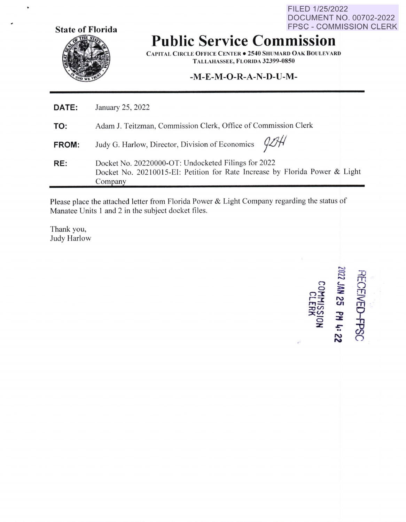FILED 1/25/2022 DOCUMENT NO. 00702-2022 FPSC - COMMISSION CLERK



.

**Public Service Commission** 

**CAPITAL CIRCLE OFFICE CENTER . 2540 SHUMARD OAK BOULEVARD TALLAHASSEE, FLORIDA 32399-0850** 

## **-M-E-M-O-R-A-N-D-U-M-**

| <b>DATE:</b> | January 25, 2022                                                                                                                              |
|--------------|-----------------------------------------------------------------------------------------------------------------------------------------------|
| TO:          | Adam J. Teitzman, Commission Clerk, Office of Commission Clerk                                                                                |
| <b>FROM:</b> | Judy G. Harlow, Director, Division of Economics $924$                                                                                         |
| RE:          | Docket No. 20220000-OT: Undocketed Filings for 2022<br>Docket No. 20210015-EI: Petition for Rate Increase by Florida Power & Light<br>Company |

Please place the attached letter from Florida Power & Light Company regarding the status of Manatee Units 1 and 2 in the subject docket files.

Thank you, Judy Harlow

,..\_, = ,..\_, ,..\_, **1000**<br> **1000**<br> **1000 25 PH<br>
<b>PH**<br> **SS DE**<br> **SLERK :z:** *.,:-* .. I'\) **N**  RE(  $\Omega$  $\mathbf{\overline{\mathbf{u}}}$  .  $- 50$